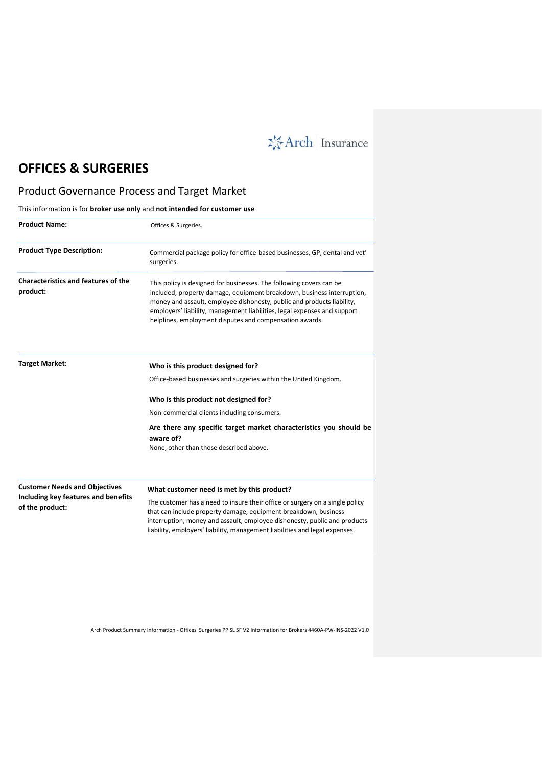**※Arch | Insurance** 

# **OFFICES & SURGERIES**

# Product Governance Process and Target Market

This information is for **broker use only** and **not intended for customer use**

| <b>Product Name:</b>                                                                           | Offices & Surgeries.                                                                                                                                                                                                                                                                                                                                           |
|------------------------------------------------------------------------------------------------|----------------------------------------------------------------------------------------------------------------------------------------------------------------------------------------------------------------------------------------------------------------------------------------------------------------------------------------------------------------|
| <b>Product Type Description:</b>                                                               | Commercial package policy for office-based businesses, GP, dental and vet'<br>surgeries.                                                                                                                                                                                                                                                                       |
| <b>Characteristics and features of the</b><br>product:                                         | This policy is designed for businesses. The following covers can be<br>included; property damage, equipment breakdown, business interruption,<br>money and assault, employee dishonesty, public and products liability,<br>employers' liability, management liabilities, legal expenses and support<br>helplines, employment disputes and compensation awards. |
| <b>Target Market:</b>                                                                          | Who is this product designed for?                                                                                                                                                                                                                                                                                                                              |
|                                                                                                | Office-based businesses and surgeries within the United Kingdom.                                                                                                                                                                                                                                                                                               |
|                                                                                                | Who is this product not designed for?                                                                                                                                                                                                                                                                                                                          |
|                                                                                                | Non-commercial clients including consumers.                                                                                                                                                                                                                                                                                                                    |
|                                                                                                | Are there any specific target market characteristics you should be<br>aware of?                                                                                                                                                                                                                                                                                |
|                                                                                                | None, other than those described above.                                                                                                                                                                                                                                                                                                                        |
| <b>Customer Needs and Objectives</b><br>Including key features and benefits<br>of the product: | What customer need is met by this product?                                                                                                                                                                                                                                                                                                                     |
|                                                                                                | The customer has a need to insure their office or surgery on a single policy<br>that can include property damage, equipment breakdown, business<br>interruption, money and assault, employee dishonesty, public and products<br>liability, employers' liability, management liabilities and legal expenses.                                                    |

Arch Product Summary Information - Offices Surgeries PP SL SF V2 Information for Brokers 4460A-PW-INS-2022 V1.0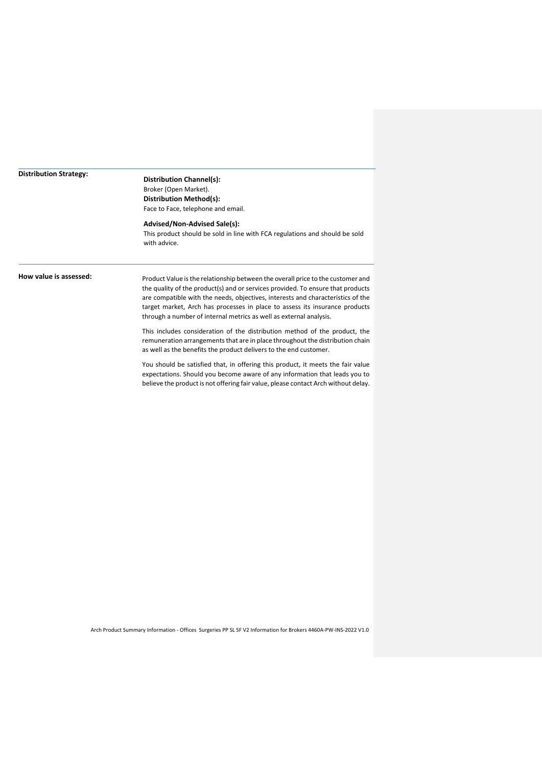### **Distribution Strategy:**

## **Distribution Channel(s):** Broker (Open Market). **Distribution Method(s):** Face to Face, telephone and email.

## **Advised/Non-Advised Sale(s):**

This product should be sold in line with FCA regulations and should be sold with advice.

**How value is assessed:** Product Value is the relationship between the overall price to the customer and the quality of the product(s) and or services provided. To ensure that products are compatible with the needs, objectives, interests and characteristics of the target market, Arch has processes in place to assess its insurance products through a number of internal metrics as well as external analysis.

> This includes consideration of the distribution method of the product, the remuneration arrangements that are in place throughout the distribution chain as well as the benefits the product delivers to the end customer.

> You should be satisfied that, in offering this product, it meets the fair value expectations. Should you become aware of any information that leads you to believe the product is not offering fair value, please contact Arch without delay.

Arch Product Summary Information - Offices Surgeries PP SL SF V2 Information for Brokers 4460A-PW-INS-2022 V1.0